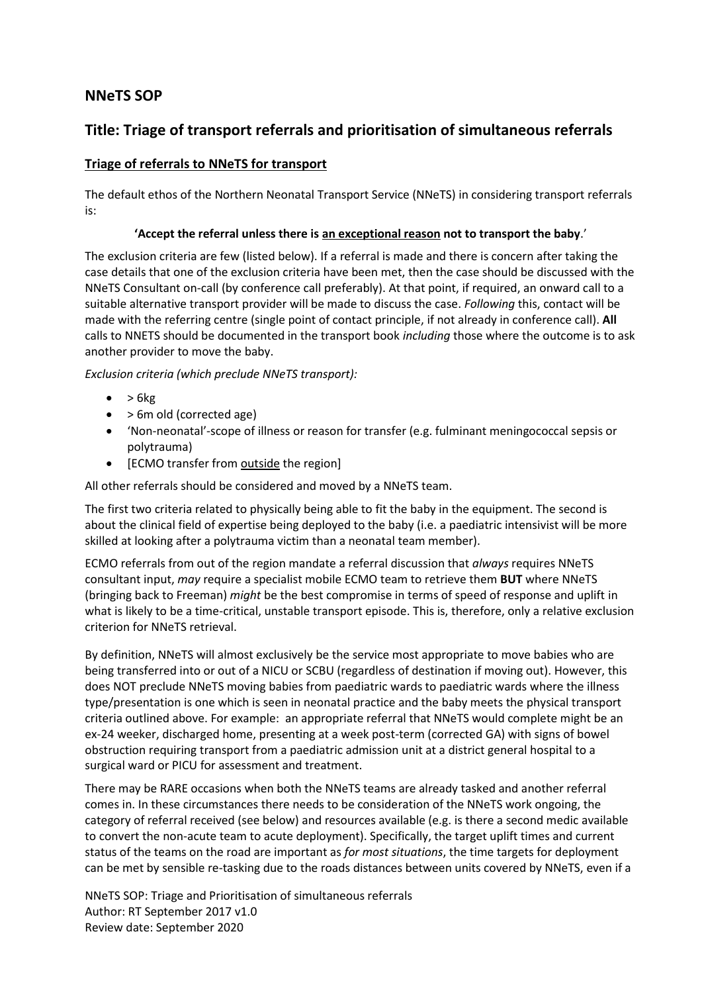# **NNeTS SOP**

# **Title: Triage of transport referrals and prioritisation of simultaneous referrals**

# **Triage of referrals to NNeTS for transport**

The default ethos of the Northern Neonatal Transport Service (NNeTS) in considering transport referrals is:

#### **'Accept the referral unless there is an exceptional reason not to transport the baby**.'

The exclusion criteria are few (listed below). If a referral is made and there is concern after taking the case details that one of the exclusion criteria have been met, then the case should be discussed with the NNeTS Consultant on-call (by conference call preferably). At that point, if required, an onward call to a suitable alternative transport provider will be made to discuss the case. *Following* this, contact will be made with the referring centre (single point of contact principle, if not already in conference call). **All** calls to NNETS should be documented in the transport book *including* those where the outcome is to ask another provider to move the baby.

*Exclusion criteria (which preclude NNeTS transport):*

- $\bullet$  > 6 $kg$
- > 6m old (corrected age)
- 'Non-neonatal'-scope of illness or reason for transfer (e.g. fulminant meningococcal sepsis or polytrauma)
- [ECMO transfer from outside the region]

All other referrals should be considered and moved by a NNeTS team.

The first two criteria related to physically being able to fit the baby in the equipment. The second is about the clinical field of expertise being deployed to the baby (i.e. a paediatric intensivist will be more skilled at looking after a polytrauma victim than a neonatal team member).

ECMO referrals from out of the region mandate a referral discussion that *always* requires NNeTS consultant input, *may* require a specialist mobile ECMO team to retrieve them **BUT** where NNeTS (bringing back to Freeman) *might* be the best compromise in terms of speed of response and uplift in what is likely to be a time-critical, unstable transport episode. This is, therefore, only a relative exclusion criterion for NNeTS retrieval.

By definition, NNeTS will almost exclusively be the service most appropriate to move babies who are being transferred into or out of a NICU or SCBU (regardless of destination if moving out). However, this does NOT preclude NNeTS moving babies from paediatric wards to paediatric wards where the illness type/presentation is one which is seen in neonatal practice and the baby meets the physical transport criteria outlined above. For example: an appropriate referral that NNeTS would complete might be an ex-24 weeker, discharged home, presenting at a week post-term (corrected GA) with signs of bowel obstruction requiring transport from a paediatric admission unit at a district general hospital to a surgical ward or PICU for assessment and treatment.

There may be RARE occasions when both the NNeTS teams are already tasked and another referral comes in. In these circumstances there needs to be consideration of the NNeTS work ongoing, the category of referral received (see below) and resources available (e.g. is there a second medic available to convert the non-acute team to acute deployment). Specifically, the target uplift times and current status of the teams on the road are important as *for most situations*, the time targets for deployment can be met by sensible re-tasking due to the roads distances between units covered by NNeTS, even if a

NNeTS SOP: Triage and Prioritisation of simultaneous referrals Author: RT September 2017 v1.0 Review date: September 2020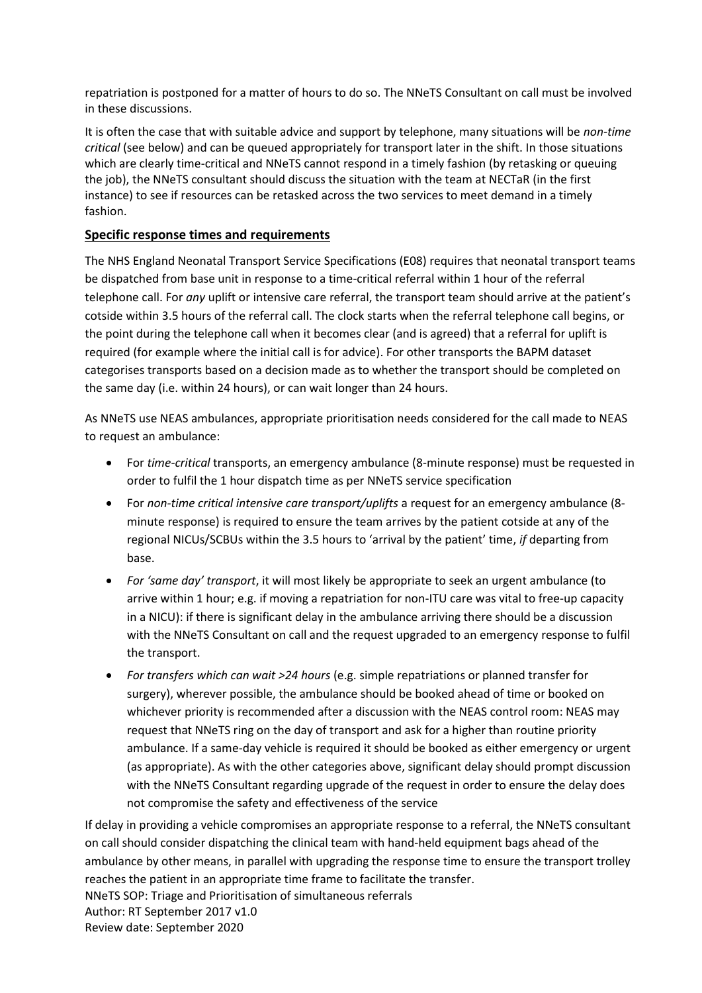repatriation is postponed for a matter of hours to do so. The NNeTS Consultant on call must be involved in these discussions.

It is often the case that with suitable advice and support by telephone, many situations will be *non-time critical* (see below) and can be queued appropriately for transport later in the shift. In those situations which are clearly time-critical and NNeTS cannot respond in a timely fashion (by retasking or queuing the job), the NNeTS consultant should discuss the situation with the team at NECTaR (in the first instance) to see if resources can be retasked across the two services to meet demand in a timely fashion.

### **Specific response times and requirements**

The NHS England Neonatal Transport Service Specifications (E08) requires that neonatal transport teams be dispatched from base unit in response to a time-critical referral within 1 hour of the referral telephone call. For *any* uplift or intensive care referral, the transport team should arrive at the patient's cotside within 3.5 hours of the referral call. The clock starts when the referral telephone call begins, or the point during the telephone call when it becomes clear (and is agreed) that a referral for uplift is required (for example where the initial call is for advice). For other transports the BAPM dataset categorises transports based on a decision made as to whether the transport should be completed on the same day (i.e. within 24 hours), or can wait longer than 24 hours.

As NNeTS use NEAS ambulances, appropriate prioritisation needs considered for the call made to NEAS to request an ambulance:

- For *time-critical* transports, an emergency ambulance (8-minute response) must be requested in order to fulfil the 1 hour dispatch time as per NNeTS service specification
- For *non-time critical intensive care transport/uplifts* a request for an emergency ambulance (8 minute response) is required to ensure the team arrives by the patient cotside at any of the regional NICUs/SCBUs within the 3.5 hours to 'arrival by the patient' time, *if* departing from base.
- *For 'same day' transport*, it will most likely be appropriate to seek an urgent ambulance (to arrive within 1 hour; e.g. if moving a repatriation for non-ITU care was vital to free-up capacity in a NICU): if there is significant delay in the ambulance arriving there should be a discussion with the NNeTS Consultant on call and the request upgraded to an emergency response to fulfil the transport.
- *For transfers which can wait >24 hours* (e.g. simple repatriations or planned transfer for surgery), wherever possible, the ambulance should be booked ahead of time or booked on whichever priority is recommended after a discussion with the NEAS control room: NEAS may request that NNeTS ring on the day of transport and ask for a higher than routine priority ambulance. If a same-day vehicle is required it should be booked as either emergency or urgent (as appropriate). As with the other categories above, significant delay should prompt discussion with the NNeTS Consultant regarding upgrade of the request in order to ensure the delay does not compromise the safety and effectiveness of the service

NNeTS SOP: Triage and Prioritisation of simultaneous referrals Author: RT September 2017 v1.0 Review date: September 2020 If delay in providing a vehicle compromises an appropriate response to a referral, the NNeTS consultant on call should consider dispatching the clinical team with hand-held equipment bags ahead of the ambulance by other means, in parallel with upgrading the response time to ensure the transport trolley reaches the patient in an appropriate time frame to facilitate the transfer.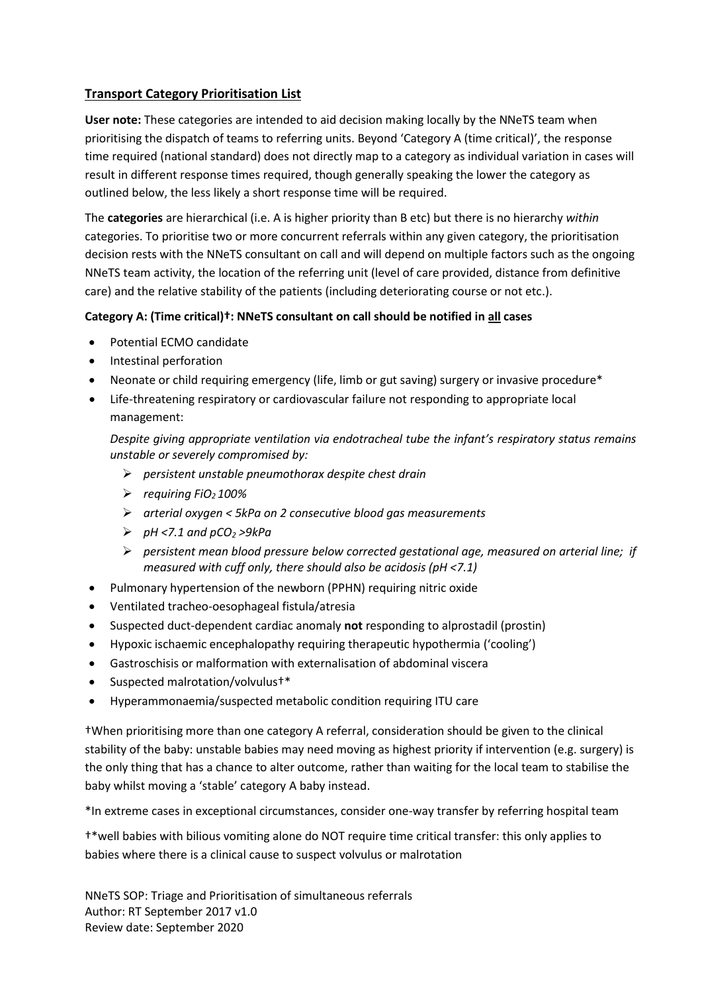# **Transport Category Prioritisation List**

**User note:** These categories are intended to aid decision making locally by the NNeTS team when prioritising the dispatch of teams to referring units. Beyond 'Category A (time critical)', the response time required (national standard) does not directly map to a category as individual variation in cases will result in different response times required, though generally speaking the lower the category as outlined below, the less likely a short response time will be required.

The **categories** are hierarchical (i.e. A is higher priority than B etc) but there is no hierarchy *within* categories. To prioritise two or more concurrent referrals within any given category, the prioritisation decision rests with the NNeTS consultant on call and will depend on multiple factors such as the ongoing NNeTS team activity, the location of the referring unit (level of care provided, distance from definitive care) and the relative stability of the patients (including deteriorating course or not etc.).

## **Category A: (Time critical)†: NNeTS consultant on call should be notified in all cases**

- Potential ECMO candidate
- Intestinal perforation
- Neonate or child requiring emergency (life, limb or gut saving) surgery or invasive procedure\*
- Life-threatening respiratory or cardiovascular failure not responding to appropriate local management:

*Despite giving appropriate ventilation via endotracheal tube the infant's respiratory status remains unstable or severely compromised by:* 

- ➢ *persistent unstable pneumothorax despite chest drain*
- ➢ *requiring FiO2 100%*
- ➢ *arterial oxygen < 5kPa on 2 consecutive blood gas measurements*
- ➢ *pH <7.1 and pCO<sup>2</sup> >9kPa*
- ➢ *persistent mean blood pressure below corrected gestational age, measured on arterial line; if measured with cuff only, there should also be acidosis (pH <7.1)*
- Pulmonary hypertension of the newborn (PPHN) requiring nitric oxide
- Ventilated tracheo-oesophageal fistula/atresia
- Suspected duct-dependent cardiac anomaly **not** responding to alprostadil (prostin)
- Hypoxic ischaemic encephalopathy requiring therapeutic hypothermia ('cooling')
- Gastroschisis or malformation with externalisation of abdominal viscera
- Suspected malrotation/volvulus†\*
- Hyperammonaemia/suspected metabolic condition requiring ITU care

†When prioritising more than one category A referral, consideration should be given to the clinical stability of the baby: unstable babies may need moving as highest priority if intervention (e.g. surgery) is the only thing that has a chance to alter outcome, rather than waiting for the local team to stabilise the baby whilst moving a 'stable' category A baby instead.

\*In extreme cases in exceptional circumstances, consider one-way transfer by referring hospital team

†\*well babies with bilious vomiting alone do NOT require time critical transfer: this only applies to babies where there is a clinical cause to suspect volvulus or malrotation

NNeTS SOP: Triage and Prioritisation of simultaneous referrals Author: RT September 2017 v1.0 Review date: September 2020